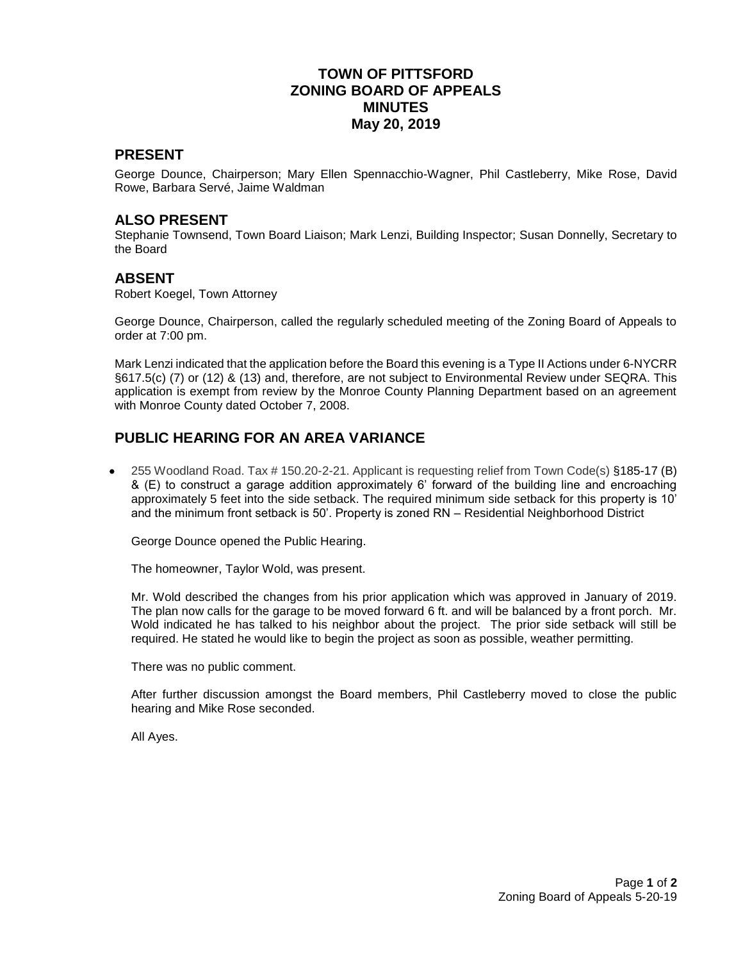# **TOWN OF PITTSFORD ZONING BOARD OF APPEALS MINUTES May 20, 2019**

### **PRESENT**

George Dounce, Chairperson; Mary Ellen Spennacchio-Wagner, Phil Castleberry, Mike Rose, David Rowe, Barbara Servé, Jaime Waldman

#### **ALSO PRESENT**

Stephanie Townsend, Town Board Liaison; Mark Lenzi, Building Inspector; Susan Donnelly, Secretary to the Board

#### **ABSENT**

Robert Koegel, Town Attorney

George Dounce, Chairperson, called the regularly scheduled meeting of the Zoning Board of Appeals to order at 7:00 pm.

Mark Lenzi indicated that the application before the Board this evening is a Type II Actions under 6-NYCRR §617.5(c) (7) or (12) & (13) and, therefore, are not subject to Environmental Review under SEQRA. This application is exempt from review by the Monroe County Planning Department based on an agreement with Monroe County dated October 7, 2008.

# **PUBLIC HEARING FOR AN AREA VARIANCE**

 255 Woodland Road. Tax # 150.20-2-21. Applicant is requesting relief from Town Code(s) §185-17 (B) & (E) to construct a garage addition approximately 6' forward of the building line and encroaching approximately 5 feet into the side setback. The required minimum side setback for this property is 10' and the minimum front setback is 50'. Property is zoned RN – Residential Neighborhood District

George Dounce opened the Public Hearing.

The homeowner, Taylor Wold, was present.

Mr. Wold described the changes from his prior application which was approved in January of 2019. The plan now calls for the garage to be moved forward 6 ft. and will be balanced by a front porch. Mr. Wold indicated he has talked to his neighbor about the project. The prior side setback will still be required. He stated he would like to begin the project as soon as possible, weather permitting.

There was no public comment.

After further discussion amongst the Board members, Phil Castleberry moved to close the public hearing and Mike Rose seconded.

All Ayes.